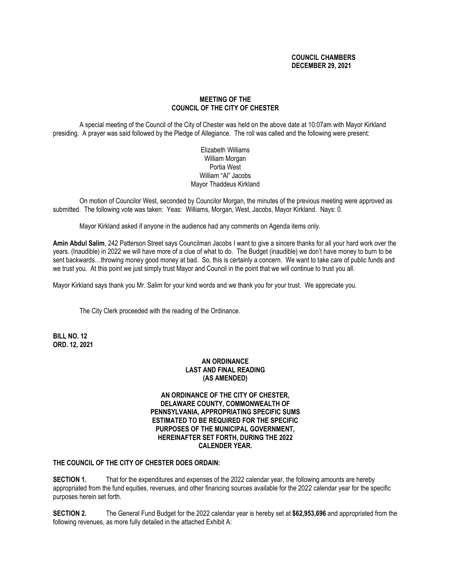## **COUNCIL CHAMBERS DECEMBER 29, 2021**

# **MEETING OF THE COUNCIL OF THE CITY OF CHESTER**

A special meeting of the Council of the City of Chester was held on the above date at 10:07am with Mayor Kirkland presiding. A prayer was said followed by the Pledge of Allegiance. The roll was called and the following were present:

> Elizabeth Williams William Morgan Portia West William "Al" Jacobs Mayor Thaddeus Kirkland

On motion of Councilor West, seconded by Councilor Morgan, the minutes of the previous meeting were approved as submitted. The following vote was taken: Yeas: Williams, Morgan, West, Jacobs, Mayor Kirkland. Nays: 0.

Mayor Kirkland asked if anyone in the audience had any comments on Agenda items only.

**Amin Abdul Salim**, 242 Patterson Street says Councilman Jacobs I want to give a sincere thanks for all your hard work over the years. (Inaudible) in 2022 we will have more of a clue of what to do. The Budget (inaudible) we don't have money to burn to be sent backwards…throwing money good money at bad. So, this is certainly a concern. We want to take care of public funds and we trust you. At this point we just simply trust Mayor and Council in the point that we will continue to trust you all.

Mayor Kirkland says thank you Mr. Salim for your kind words and we thank you for your trust. We appreciate you.

The City Clerk proceeded with the reading of the Ordinance.

**BILL NO. 12 ORD. 12, 2021**

## **AN ORDINANCE LAST AND FINAL READING (AS AMENDED)**

### **AN ORDINANCE OF THE CITY OF CHESTER, DELAWARE COUNTY, COMMONWEALTH OF PENNSYLVANIA, APPROPRIATING SPECIFIC SUMS ESTIMATED TO BE REQUIRED FOR THE SPECIFIC PURPOSES OF THE MUNICIPAL GOVERNMENT, HEREINAFTER SET FORTH, DURING THE 2022 CALENDER YEAR.**

**THE COUNCIL OF THE CITY OF CHESTER DOES ORDAIN:**

**SECTION 1.** That for the expenditures and expenses of the 2022 calendar year, the following amounts are hereby appropriated from the fund equities, revenues, and other financing sources available for the 2022 calendar year for the specific purposes herein set forth.

**SECTION 2.** The General Fund Budget for the 2022 calendar year is hereby set at **\$62,953,696** and appropriated from the following revenues, as more fully detailed in the attached Exhibit A: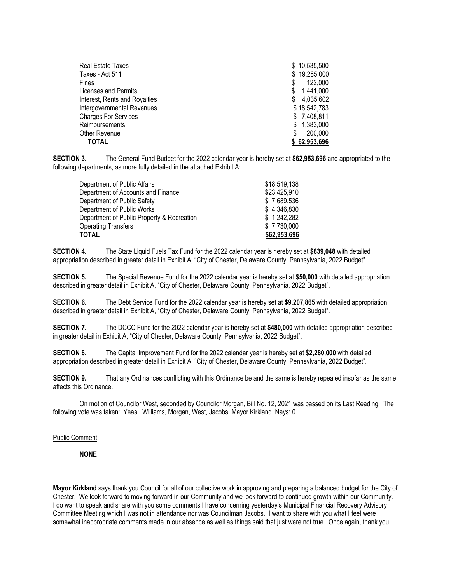| Real Estate Taxes             | \$10,535,500   |
|-------------------------------|----------------|
| Taxes - Act 511               | \$19,285,000   |
| Fines                         | 122,000        |
| Licenses and Permits          | 1,441,000<br>S |
| Interest, Rents and Royalties | 4,035,602<br>S |
| Intergovernmental Revenues    | \$18,542,783   |
| <b>Charges For Services</b>   | \$7,408,811    |
| Reimbursements                | \$1,383,000    |
| Other Revenue                 | 200,000        |
| TOTAL                         | \$62,953,696   |

**SECTION 3.** The General Fund Budget for the 2022 calendar year is hereby set at **\$62,953,696** and appropriated to the following departments, as more fully detailed in the attached Exhibit A:

| <b>TOTAL</b>                               | \$62,953,696 |
|--------------------------------------------|--------------|
| <b>Operating Transfers</b>                 | \$7.730,000  |
| Department of Public Property & Recreation | \$1,242,282  |
| Department of Public Works                 | \$4.346.830  |
| Department of Public Safety                | \$7,689,536  |
| Department of Accounts and Finance         | \$23,425,910 |
| Department of Public Affairs               | \$18,519,138 |

**SECTION 4.** The State Liquid Fuels Tax Fund for the 2022 calendar year is hereby set at **\$839,048** with detailed appropriation described in greater detail in Exhibit A, "City of Chester, Delaware County, Pennsylvania, 2022 Budget".

**SECTION 5.** The Special Revenue Fund for the 2022 calendar year is hereby set at **\$50,000** with detailed appropriation described in greater detail in Exhibit A, "City of Chester, Delaware County, Pennsylvania, 2022 Budget".

**SECTION 6.** The Debt Service Fund for the 2022 calendar year is hereby set at **\$9,207,865** with detailed appropriation described in greater detail in Exhibit A, "City of Chester, Delaware County, Pennsylvania, 2022 Budget".

**SECTION 7.** The DCCC Fund for the 2022 calendar year is hereby set at **\$480,000** with detailed appropriation described in greater detail in Exhibit A, "City of Chester, Delaware County, Pennsylvania, 2022 Budget".

**SECTION 8.** The Capital Improvement Fund for the 2022 calendar year is hereby set at \$**2,280,000** with detailed appropriation described in greater detail in Exhibit A, "City of Chester, Delaware County, Pennsylvania, 2022 Budget".

**SECTION 9.** That any Ordinances conflicting with this Ordinance be and the same is hereby repealed insofar as the same affects this Ordinance.

On motion of Councilor West, seconded by Councilor Morgan, Bill No. 12, 2021 was passed on its Last Reading. The following vote was taken: Yeas: Williams, Morgan, West, Jacobs, Mayor Kirkland. Nays: 0.

#### Public Comment

**NONE**

**Mayor Kirkland** says thank you Council for all of our collective work in approving and preparing a balanced budget for the City of Chester. We look forward to moving forward in our Community and we look forward to continued growth within our Community. I do want to speak and share with you some comments I have concerning yesterday's Municipal Financial Recovery Advisory Committee Meeting which I was not in attendance nor was Councilman Jacobs. I want to share with you what I feel were somewhat inappropriate comments made in our absence as well as things said that just were not true. Once again, thank you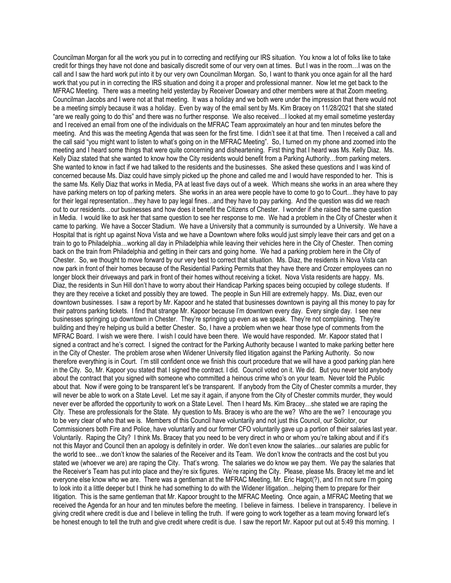Councilman Morgan for all the work you put in to correcting and rectifying our IRS situation. You know a lot of folks like to take credit for things they have not done and basically discredit some of our very own at times. But I was in the room…I was on the call and I saw the hard work put into it by our very own Councilman Morgan. So, I want to thank you once again for all the hard work that you put in in correcting the IRS situation and doing it a proper and professional manner. Now let me get back to the MFRAC Meeting. There was a meeting held yesterday by Receiver Doweary and other members were at that Zoom meeting. Councilman Jacobs and I were not at that meeting. It was a holiday and we both were under the impression that there would not be a meeting simply because it was a holiday. Even by way of the email sent by Ms. Kim Bracey on 11/28/2021 that she stated "are we really going to do this" and there was no further response. We also received…I looked at my email sometime yesterday and I received an email from one of the individuals on the MFRAC Team approximately an hour and ten minutes before the meeting. And this was the meeting Agenda that was seen for the first time. I didn't see it at that time. Then I received a call and the call said "you might want to listen to what's going on in the MFRAC Meeting". So, I turned on my phone and zoomed into the meeting and I heard some things that were quite concerning and disheartening. First thing that I heard was Ms. Kelly Diaz. Ms. Kelly Diaz stated that she wanted to know how the City residents would benefit from a Parking Authority…from parking meters. She wanted to know in fact if we had talked to the residents and the businesses. She asked these questions and I was kind of concerned because Ms. Diaz could have simply picked up the phone and called me and I would have responded to her. This is the same Ms. Kelly Diaz that works in Media, PA at least five days out of a week. Which means she works in an area where they have parking meters on top of parking meters. She works in an area were people have to come to go to Court…they have to pay for their legal representation…they have to pay legal fines…and they have to pay parking. And the question was did we reach out to our residents…our businesses and how does it benefit the Citizens of Chester. I wonder if she raised the same question in Media. I would like to ask her that same question to see her response to me. We had a problem in the City of Chester when it came to parking. We have a Soccer Stadium. We have a University that a community is surrounded by a University. We have a Hospital that is right up against Nova Vista and we have a Downtown where folks would just simply leave their cars and get on a train to go to Philadelphia…working all day in Philadelphia while leaving their vehicles here in the City of Chester. Then coming back on the train from Philadelphia and getting in their cars and going home. We had a parking problem here in the City of Chester. So, we thought to move forward by our very best to correct that situation. Ms. Diaz, the residents in Nova Vista can now park in front of their homes because of the Residential Parking Permits that they have there and Crozer employees can no longer block their driveways and park in front of their homes without receiving a ticket. Nova Vista residents are happy. Ms. Diaz, the residents in Sun Hill don't have to worry about their Handicap Parking spaces being occupied by college students. If they are they receive a ticket and possibly they are towed. The people in Sun Hill are extremely happy. Ms. Diaz, even our downtown businesses. I saw a report by Mr. Kapoor and he stated that businesses downtown is paying all this money to pay for their patrons parking tickets. I find that strange Mr. Kapoor because I'm downtown every day. Every single day. I see new businesses springing up downtown in Chester. They're springing up even as we speak. They're not complaining. They're building and they're helping us build a better Chester. So, I have a problem when we hear those type of comments from the MFRAC Board. I wish we were there. I wish I could have been there. We would have responded. Mr. Kapoor stated that I signed a contract and he's correct. I signed the contract for the Parking Authority because I wanted to make parking better here in the City of Chester. The problem arose when Widener University filed litigation against the Parking Authority. So now therefore everything is in Court. I'm still confident once we finish this court procedure that we will have a good parking plan here in the City. So, Mr. Kapoor you stated that I signed the contract. I did. Council voted on it. We did. But you never told anybody about the contract that you signed with someone who committed a heinous crime who's on your team. Never told the Public about that. Now if were going to be transparent let's be transparent. If anybody from the City of Chester commits a murder, they will never be able to work on a State Level. Let me say it again, if anyone from the City of Chester commits murder, they would never ever be afforded the opportunity to work on a State Level. Then I heard Ms. Kim Bracey…she stated we are raping the City. These are professionals for the State. My question to Ms. Bracey is who are the we? Who are the we? I encourage you to be very clear of who that we is. Members of this Council have voluntarily and not just this Council, our Solicitor, our Commissioners both Fire and Police, have voluntarily and our former CFO voluntarily gave up a portion of their salaries last year. Voluntarily. Raping the City? I think Ms. Bracey that you need to be very direct in who or whom you're talking about and if it's not this Mayor and Council then an apology is definitely in order. We don't even know the salaries…our salaries are public for the world to see…we don't know the salaries of the Receiver and its Team. We don't know the contracts and the cost but you stated we (whoever we are) are raping the City. That's wrong. The salaries we do know we pay them. We pay the salaries that the Receiver's Team has put into place and they're six figures. We're raping the City. Please, please Ms. Bracey let me and let everyone else know who we are. There was a gentleman at the MFRAC Meeting, Mr. Eric Hagot(?), and I'm not sure I'm going to look into it a little deeper but I think he had something to do with the Widener litigation…helping them to prepare for their litigation. This is the same gentleman that Mr. Kapoor brought to the MFRAC Meeting. Once again, a MFRAC Meeting that we received the Agenda for an hour and ten minutes before the meeting. I believe in fairness. I believe in transparency. I believe in giving credit where credit is due and I believe in telling the truth. If were going to work together as a team moving forward let's be honest enough to tell the truth and give credit where credit is due. I saw the report Mr. Kapoor put out at 5:49 this morning. I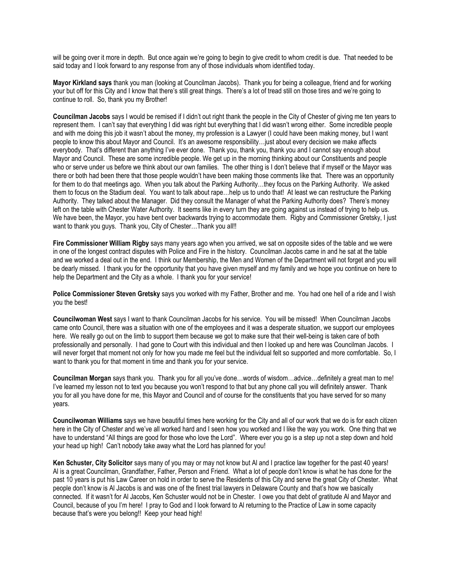will be going over it more in depth. But once again we're going to begin to give credit to whom credit is due. That needed to be said today and I look forward to any response from any of those individuals whom identified today.

**Mayor Kirkland says** thank you man (looking at Councilman Jacobs). Thank you for being a colleague, friend and for working your but off for this City and I know that there's still great things. There's a lot of tread still on those tires and we're going to continue to roll. So, thank you my Brother!

**Councilman Jacobs** says I would be remised if I didn't out right thank the people in the City of Chester of giving me ten years to represent them. I can't say that everything I did was right but everything that I did wasn't wrong either. Some incredible people and with me doing this job it wasn't about the money, my profession is a Lawyer (I could have been making money, but I want people to know this about Mayor and Council. It's an awesome responsibility…just about every decision we make affects everybody. That's different than anything I've ever done. Thank you, thank you, thank you and I cannot say enough about Mayor and Council. These are some incredible people. We get up in the morning thinking about our Constituents and people who or serve under us before we think about our own families. The other thing is I don't believe that if myself or the Mayor was there or both had been there that those people wouldn't have been making those comments like that. There was an opportunity for them to do that meetings ago. When you talk about the Parking Authority…they focus on the Parking Authority. We asked them to focus on the Stadium deal. You want to talk about rape…help us to undo that! At least we can restructure the Parking Authority. They talked about the Manager. Did they consult the Manager of what the Parking Authority does? There's money left on the table with Chester Water Authority. It seems like in every turn they are going against us instead of trying to help us. We have been, the Mayor, you have bent over backwards trying to accommodate them. Rigby and Commissioner Gretsky, I just want to thank you guys. Thank you, City of Chester...Thank you all!!

**Fire Commissioner William Rigby** says many years ago when you arrived, we sat on opposite sides of the table and we were in one of the longest contract disputes with Police and Fire in the history. Councilman Jacobs came in and he sat at the table and we worked a deal out in the end. I think our Membership, the Men and Women of the Department will not forget and you will be dearly missed. I thank you for the opportunity that you have given myself and my family and we hope you continue on here to help the Department and the City as a whole. I thank you for your service!

**Police Commissioner Steven Gretsky** says you worked with my Father, Brother and me. You had one hell of a ride and I wish you the best!

**Councilwoman West** says I want to thank Councilman Jacobs for his service. You will be missed! When Councilman Jacobs came onto Council, there was a situation with one of the employees and it was a desperate situation, we support our employees here. We really go out on the limb to support them because we got to make sure that their well-being is taken care of both professionally and personally. I had gone to Court with this individual and then I looked up and here was Councilman Jacobs. I will never forget that moment not only for how you made me feel but the individual felt so supported and more comfortable. So, I want to thank you for that moment in time and thank you for your service.

**Councilman Morgan** says thank you. Thank you for all you've done…words of wisdom…advice…definitely a great man to me! I've learned my lesson not to text you because you won't respond to that but any phone call you will definitely answer. Thank you for all you have done for me, this Mayor and Council and of course for the constituents that you have served for so many years.

**Councilwoman Williams** says we have beautiful times here working for the City and all of our work that we do is for each citizen here in the City of Chester and we've all worked hard and I seen how you worked and I like the way you work. One thing that we have to understand "All things are good for those who love the Lord". Where ever you go is a step up not a step down and hold your head up high! Can't nobody take away what the Lord has planned for you!

**Ken Schuster, City Solicitor** says many of you may or may not know but Al and I practice law together for the past 40 years! Al is a great Councilman, Grandfather, Father, Person and Friend. What a lot of people don't know is what he has done for the past 10 years is put his Law Career on hold in order to serve the Residents of this City and serve the great City of Chester. What people don't know is Al Jacobs is and was one of the finest trial lawyers in Delaware County and that's how we basically connected. If it wasn't for Al Jacobs, Ken Schuster would not be in Chester. I owe you that debt of gratitude Al and Mayor and Council, because of you I'm here! I pray to God and I look forward to Al returning to the Practice of Law in some capacity because that's were you belong!! Keep your head high!